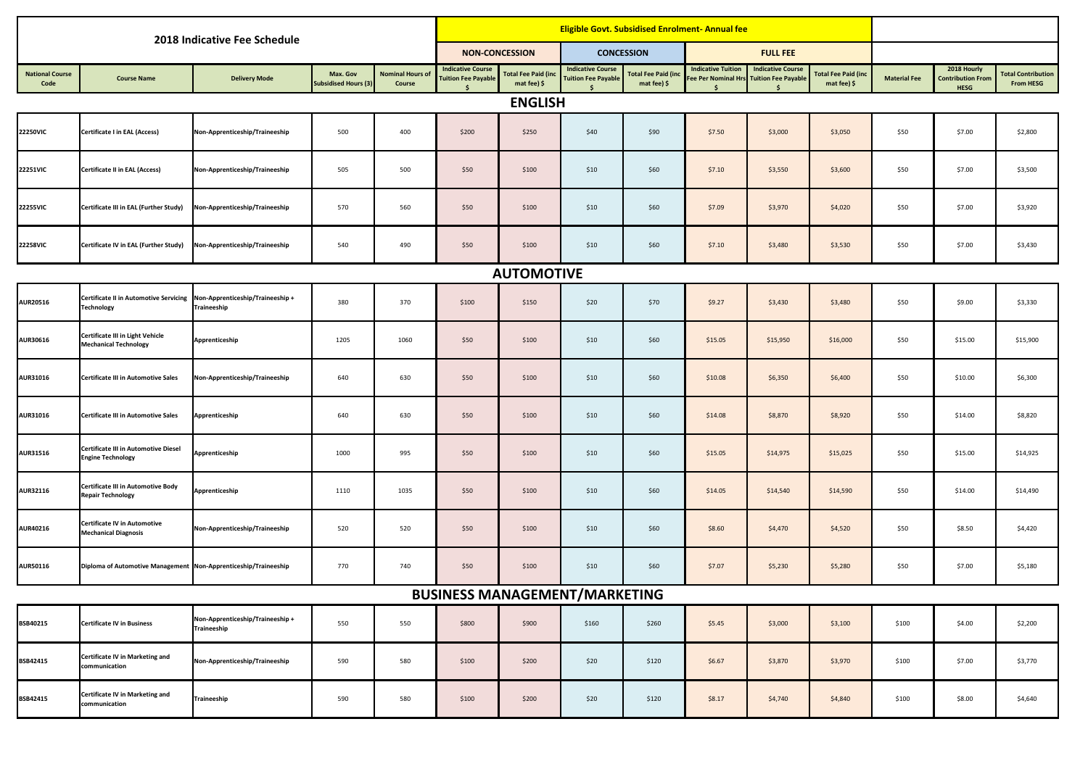| 2018 Indicative Fee Schedule   |                                                                                              |                                                 |                                         |                            |                                                        | <b>Eligible Govt. Subsidised Enrolment- Annual fee</b> |                                                        |                                           |                                                 |                                                        |                                           |                     |                                                        |                                               |
|--------------------------------|----------------------------------------------------------------------------------------------|-------------------------------------------------|-----------------------------------------|----------------------------|--------------------------------------------------------|--------------------------------------------------------|--------------------------------------------------------|-------------------------------------------|-------------------------------------------------|--------------------------------------------------------|-------------------------------------------|---------------------|--------------------------------------------------------|-----------------------------------------------|
|                                |                                                                                              |                                                 |                                         |                            | <b>NON-CONCESSION</b>                                  |                                                        | <b>CONCESSION</b>                                      |                                           | <b>FULL FEE</b>                                 |                                                        |                                           |                     |                                                        |                                               |
| <b>National Course</b><br>Code | <b>Course Name</b>                                                                           | <b>Delivery Mode</b>                            | Max. Gov<br><b>Subsidised Hours (3)</b> | Nominal Hours of<br>Course | <b>Indicative Course</b><br><b>Tuition Fee Payable</b> | <b>Total Fee Paid (inc</b><br>mat fee) \$              | <b>Indicative Course</b><br><b>Tuition Fee Payable</b> | <b>Total Fee Paid (ind</b><br>mat fee) \$ | <b>Indicative Tuition</b><br>ee Per Nominal Hrs | <b>Indicative Course</b><br><b>Tuition Fee Payable</b> | <b>Fotal Fee Paid (inc</b><br>mat fee) \$ | <b>Material Fee</b> | 2018 Hourly<br><b>Contribution From</b><br><b>HESG</b> | <b>Total Contribution</b><br><b>From HESG</b> |
| <b>ENGLISH</b>                 |                                                                                              |                                                 |                                         |                            |                                                        |                                                        |                                                        |                                           |                                                 |                                                        |                                           |                     |                                                        |                                               |
| <b>22250VIC</b>                | Certificate I in EAL (Access)                                                                | Non-Apprenticeship/Traineeship                  | 500                                     | 400                        | \$200                                                  | \$250                                                  | \$40                                                   | \$90                                      | \$7.50                                          | \$3,000                                                | \$3,050                                   | \$50                | \$7.00                                                 | \$2,800                                       |
| <b>22251VIC</b>                | <b>Certificate II in EAL (Access)</b>                                                        | Non-Apprenticeship/Traineeship                  | 505                                     | 500                        | \$50                                                   | \$100                                                  | \$10                                                   | \$60                                      | \$7.10                                          | \$3,550                                                | \$3,600                                   | \$50                | \$7.00                                                 | \$3,500                                       |
| 22255VIC                       | Certificate III in EAL (Further Study)                                                       | Non-Apprenticeship/Traineeship                  | 570                                     | 560                        | \$50                                                   | \$100                                                  | \$10                                                   | \$60                                      | \$7.09                                          | \$3,970                                                | \$4,020                                   | \$50                | \$7.00                                                 | \$3,920                                       |
| <b>22258VIC</b>                | Certificate IV in EAL (Further Study)                                                        | Non-Apprenticeship/Traineeship                  | 540                                     | 490                        | \$50                                                   | \$100                                                  | \$10                                                   | \$60                                      | \$7.10                                          | \$3,480                                                | \$3,530                                   | \$50                | \$7.00                                                 | \$3,430                                       |
| <b>AUTOMOTIVE</b>              |                                                                                              |                                                 |                                         |                            |                                                        |                                                        |                                                        |                                           |                                                 |                                                        |                                           |                     |                                                        |                                               |
| <b>AUR20516</b>                | Certificate II in Automotive Servicing Non-Apprenticeship/Traineeship +<br><b>Technology</b> | <b>Traineeship</b>                              | 380                                     | 370                        | \$100                                                  | \$150                                                  | \$20                                                   | \$70                                      | \$9.27                                          | \$3,430                                                | \$3,480                                   | \$50                | \$9.00                                                 | \$3,330                                       |
| <b>AUR30616</b>                | Certificate III in Light Vehicle<br><b>Mechanical Technology</b>                             | Apprenticeship                                  | 1205                                    | 1060                       | \$50                                                   | \$100                                                  | \$10                                                   | \$60                                      | \$15.05                                         | \$15,950                                               | \$16,000                                  | \$50                | \$15.00                                                | \$15,900                                      |
| AUR31016                       | Certificate III in Automotive Sales                                                          | Non-Apprenticeship/Traineeship                  | 640                                     | 630                        | \$50                                                   | \$100                                                  | \$10                                                   | \$60                                      | \$10.08                                         | \$6,350                                                | \$6,400                                   | \$50                | \$10.00                                                | \$6,300                                       |
| <b>AUR31016</b>                | Certificate III in Automotive Sales                                                          | Apprenticeship                                  | 640                                     | 630                        | \$50                                                   | \$100                                                  | \$10                                                   | \$60                                      | \$14.08                                         | \$8,870                                                | \$8,920                                   | \$50                | \$14.00                                                | \$8,820                                       |
| <b>AUR31516</b>                | Certificate III in Automotive Diesel<br><b>Engine Technology</b>                             | Apprenticeship                                  | 1000                                    | 995                        | \$50                                                   | \$100                                                  | \$10                                                   | \$60                                      | \$15.05                                         | \$14,975                                               | \$15,025                                  | \$50                | \$15.00                                                | \$14,925                                      |
| AUR32116                       | Certificate III in Automotive Body<br><b>Repair Technology</b>                               | Apprenticeship                                  | 1110                                    | 1035                       | \$50                                                   | \$100                                                  | \$10                                                   | \$60                                      | \$14.05                                         | \$14,540                                               | \$14,590                                  | \$50                | \$14.00                                                | \$14,490                                      |
| AUR40216                       | <b>Certificate IV in Automotive</b><br><b>Mechanical Diagnosis</b>                           | Non-Apprenticeship/Traineeship                  | 520                                     | 520                        | \$50                                                   | \$100                                                  | \$10                                                   | \$60                                      | \$8.60                                          | \$4,470                                                | \$4,520                                   | \$50                | \$8.50                                                 | \$4,420                                       |
| AUR50116                       | Diploma of Automotive Management Non-Apprenticeship/Traineeship                              |                                                 | 770                                     | 740                        | \$50                                                   | \$100                                                  | \$10                                                   | \$60                                      | \$7.07                                          | \$5,230                                                | \$5,280                                   | \$50                | \$7.00                                                 | \$5,180                                       |
|                                |                                                                                              |                                                 |                                         |                            | <b>BUSINESS MANAGEMENT/MARKETING</b>                   |                                                        |                                                        |                                           |                                                 |                                                        |                                           |                     |                                                        |                                               |
| BSB40215                       | <b>Certificate IV in Business</b>                                                            | Non-Apprenticeship/Traineeship +<br>Traineeship | 550                                     | 550                        | \$800                                                  | \$900                                                  | \$160                                                  | \$260                                     | \$5.45                                          | \$3,000                                                | \$3,100                                   | \$100               | \$4.00                                                 | \$2,200                                       |
| BSB42415                       | Certificate IV in Marketing and<br>communication                                             | Non-Apprenticeship/Traineeship                  | 590                                     | 580                        | \$100                                                  | \$200                                                  | \$20                                                   | \$120                                     | \$6.67                                          | \$3,870                                                | \$3,970                                   | \$100               | \$7.00                                                 | \$3,770                                       |
| BSB42415                       | Certificate IV in Marketing and<br>communication                                             | Traineeship                                     | 590                                     | 580                        | \$100                                                  | \$200                                                  | \$20                                                   | \$120                                     | \$8.17                                          | \$4,740                                                | \$4,840                                   | \$100               | \$8.00                                                 | \$4,640                                       |